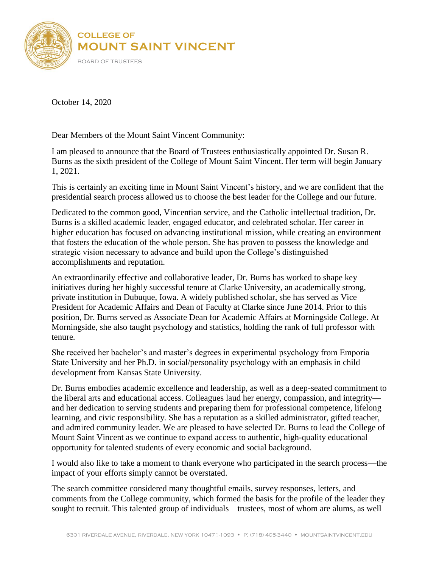

October 14, 2020

Dear Members of the Mount Saint Vincent Community:

I am pleased to announce that the Board of Trustees enthusiastically appointed Dr. Susan R. Burns as the sixth president of the College of Mount Saint Vincent. Her term will begin January 1, 2021.

This is certainly an exciting time in Mount Saint Vincent's history, and we are confident that the presidential search process allowed us to choose the best leader for the College and our future.

Dedicated to the common good, Vincentian service, and the Catholic intellectual tradition, Dr. Burns is a skilled academic leader, engaged educator, and celebrated scholar. Her career in higher education has focused on advancing institutional mission, while creating an environment that fosters the education of the whole person. She has proven to possess the knowledge and strategic vision necessary to advance and build upon the College's distinguished accomplishments and reputation.

An extraordinarily effective and collaborative leader, Dr. Burns has worked to shape key initiatives during her highly successful tenure at Clarke University, an academically strong, private institution in Dubuque, Iowa. A widely published scholar, she has served as Vice President for Academic Affairs and Dean of Faculty at Clarke since June 2014. Prior to this position, Dr. Burns served as Associate Dean for Academic Affairs at Morningside College. At Morningside, she also taught psychology and statistics, holding the rank of full professor with tenure.

She received her bachelor's and master's degrees in experimental psychology from Emporia State University and her Ph.D. in social/personality psychology with an emphasis in child development from Kansas State University.

Dr. Burns embodies academic excellence and leadership, as well as a deep-seated commitment to the liberal arts and educational access. Colleagues laud her energy, compassion, and integrity and her dedication to serving students and preparing them for professional competence, lifelong learning, and civic responsibility. She has a reputation as a skilled administrator, gifted teacher, and admired community leader. We are pleased to have selected Dr. Burns to lead the College of Mount Saint Vincent as we continue to expand access to authentic, high-quality educational opportunity for talented students of every economic and social background.

I would also like to take a moment to thank everyone who participated in the search process—the impact of your efforts simply cannot be overstated.

The search committee considered many thoughtful emails, survey responses, letters, and comments from the College community, which formed the basis for the profile of the leader they sought to recruit. This talented group of individuals—trustees, most of whom are alums, as well